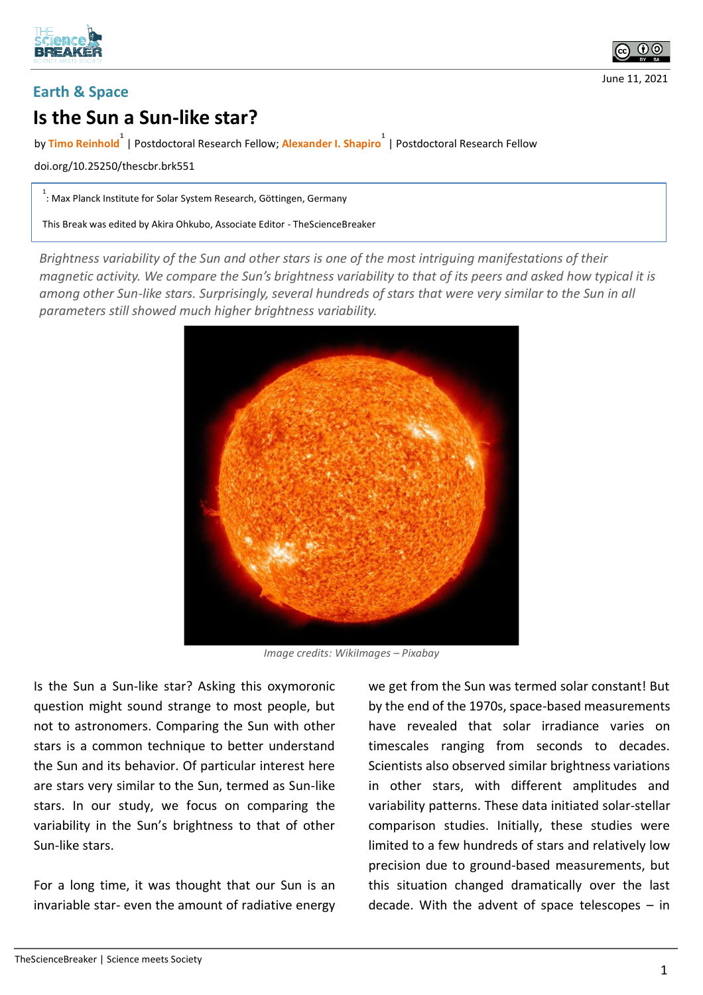



## **Earth & Space**

## **Is the Sun a Sun-like star?**

by **Timo Reinhold 1** | Postdoctoral Research Fellow; **Alexander I. Shapiro 1** | Postdoctoral Research Fellow

doi.org/10.25250/thescbr.brk551

1 : Max Planck Institute for Solar System Research, Göttingen, Germany

This Break was edited by Akira Ohkubo, Associate Editor - TheScienceBreaker

*Brightness variability of the Sun and other stars is one of the most intriguing manifestations of their magnetic activity. We compare the Sun's brightness variability to that of its peers and asked how typical it is among other Sun-like stars. Surprisingly, several hundreds of stars that were very similar to the Sun in all parameters still showed much higher brightness variability.*



*Image credits: WikiImages – Pixabay*

Is the Sun a Sun-like star? Asking this oxymoronic question might sound strange to most people, but not to astronomers. Comparing the Sun with other stars is a common technique to better understand the Sun and its behavior. Of particular interest here are stars very similar to the Sun, termed as Sun-like stars. In our study, we focus on comparing the variability in the Sun's brightness to that of other Sun-like stars.

For a long time, it was thought that our Sun is an invariable star- even the amount of radiative energy

we get from the Sun was termed solar constant! But by the end of the 1970s, space-based measurements have revealed that solar irradiance varies on timescales ranging from seconds to decades. Scientists also observed similar brightness variations in other stars, with different amplitudes and variability patterns. These data initiated solar-stellar comparison studies. Initially, these studies were limited to a few hundreds of stars and relatively low precision due to ground-based measurements, but this situation changed dramatically over the last decade. With the advent of space telescopes – in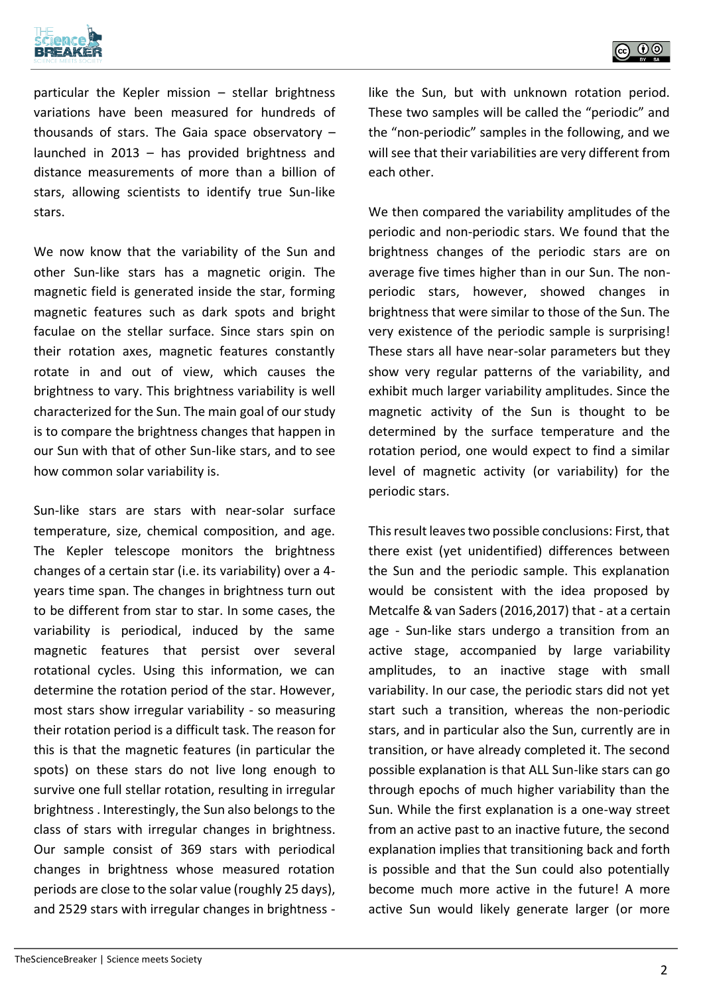



particular the Kepler mission – stellar brightness variations have been measured for hundreds of thousands of stars. The Gaia space observatory – launched in 2013 – has provided brightness and distance measurements of more than a billion of stars, allowing scientists to identify true Sun-like stars.

We now know that the variability of the Sun and other Sun-like stars has a magnetic origin. The magnetic field is generated inside the star, forming magnetic features such as dark spots and bright faculae on the stellar surface. Since stars spin on their rotation axes, magnetic features constantly rotate in and out of view, which causes the brightness to vary. This brightness variability is well characterized for the Sun. The main goal of our study is to compare the brightness changes that happen in our Sun with that of other Sun-like stars, and to see how common solar variability is.

Sun-like stars are stars with near-solar surface temperature, size, chemical composition, and age. The Kepler telescope monitors the brightness changes of a certain star (i.e. its variability) over a 4 years time span. The changes in brightness turn out to be different from star to star. In some cases, the variability is periodical, induced by the same magnetic features that persist over several rotational cycles. Using this information, we can determine the rotation period of the star. However, most stars show irregular variability - so measuring their rotation period is a difficult task. The reason for this is that the magnetic features (in particular the spots) on these stars do not live long enough to survive one full stellar rotation, resulting in irregular brightness . Interestingly, the Sun also belongs to the class of stars with irregular changes in brightness. Our sample consist of 369 stars with periodical changes in brightness whose measured rotation periods are close to the solar value (roughly 25 days), and 2529 stars with irregular changes in brightness -

like the Sun, but with unknown rotation period. These two samples will be called the "periodic" and the "non-periodic" samples in the following, and we will see that their variabilities are very different from each other.

We then compared the variability amplitudes of the periodic and non-periodic stars. We found that the brightness changes of the periodic stars are on average five times higher than in our Sun. The nonperiodic stars, however, showed changes in brightness that were similar to those of the Sun. The very existence of the periodic sample is surprising! These stars all have near-solar parameters but they show very regular patterns of the variability, and exhibit much larger variability amplitudes. Since the magnetic activity of the Sun is thought to be determined by the surface temperature and the rotation period, one would expect to find a similar level of magnetic activity (or variability) for the periodic stars.

This result leaves two possible conclusions: First, that there exist (yet unidentified) differences between the Sun and the periodic sample. This explanation would be consistent with the idea proposed by Metcalfe & van Saders (2016,2017) that - at a certain age - Sun-like stars undergo a transition from an active stage, accompanied by large variability amplitudes, to an inactive stage with small variability. In our case, the periodic stars did not yet start such a transition, whereas the non-periodic stars, and in particular also the Sun, currently are in transition, or have already completed it. The second possible explanation is that ALL Sun-like stars can go through epochs of much higher variability than the Sun. While the first explanation is a one-way street from an active past to an inactive future, the second explanation implies that transitioning back and forth is possible and that the Sun could also potentially become much more active in the future! A more active Sun would likely generate larger (or more